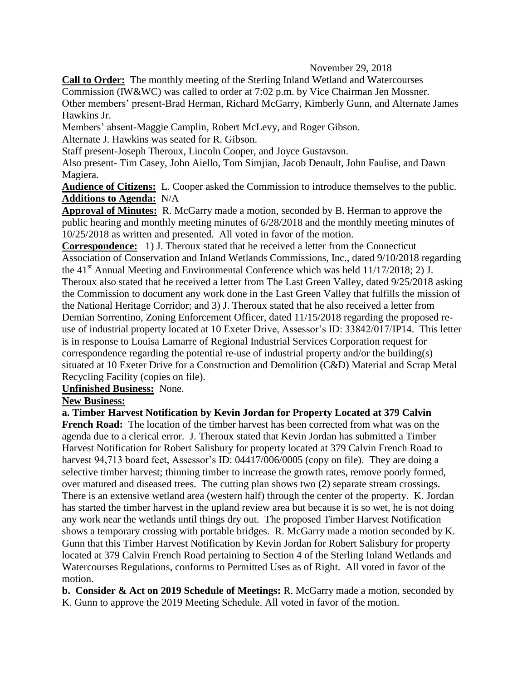## November 29, 2018

**Call to Order:** The monthly meeting of the Sterling Inland Wetland and Watercourses Commission (IW&WC) was called to order at 7:02 p.m. by Vice Chairman Jen Mossner. Other members' present-Brad Herman, Richard McGarry, Kimberly Gunn, and Alternate James Hawkins Jr.

Members' absent-Maggie Camplin, Robert McLevy, and Roger Gibson.

Alternate J. Hawkins was seated for R. Gibson.

Staff present-Joseph Theroux, Lincoln Cooper, and Joyce Gustavson.

Also present- Tim Casey, John Aiello, Tom Simjian, Jacob Denault, John Faulise, and Dawn Magiera.

**Audience of Citizens:** L. Cooper asked the Commission to introduce themselves to the public. **Additions to Agenda:** N/A

**Approval of Minutes:** R. McGarry made a motion, seconded by B. Herman to approve the public hearing and monthly meeting minutes of 6/28/2018 and the monthly meeting minutes of 10/25/2018 as written and presented. All voted in favor of the motion.

**Correspondence:** 1) J. Theroux stated that he received a letter from the Connecticut Association of Conservation and Inland Wetlands Commissions, Inc., dated 9/10/2018 regarding the 41<sup>st</sup> Annual Meeting and Environmental Conference which was held  $11/17/2018$ ; 2) J. Theroux also stated that he received a letter from The Last Green Valley, dated 9/25/2018 asking the Commission to document any work done in the Last Green Valley that fulfills the mission of the National Heritage Corridor; and 3) J. Theroux stated that he also received a letter from Demian Sorrentino, Zoning Enforcement Officer, dated 11/15/2018 regarding the proposed reuse of industrial property located at 10 Exeter Drive, Assessor's ID: 33842/017/IP14. This letter is in response to Louisa Lamarre of Regional Industrial Services Corporation request for correspondence regarding the potential re-use of industrial property and/or the building(s) situated at 10 Exeter Drive for a Construction and Demolition (C&D) Material and Scrap Metal Recycling Facility (copies on file).

**Unfinished Business:** None.

**New Business:**

**a. Timber Harvest Notification by Kevin Jordan for Property Located at 379 Calvin French Road:** The location of the timber harvest has been corrected from what was on the agenda due to a clerical error. J. Theroux stated that Kevin Jordan has submitted a Timber Harvest Notification for Robert Salisbury for property located at 379 Calvin French Road to harvest 94,713 board feet, Assessor's ID: 04417/006/0005 (copy on file). They are doing a selective timber harvest; thinning timber to increase the growth rates, remove poorly formed, over matured and diseased trees. The cutting plan shows two (2) separate stream crossings. There is an extensive wetland area (western half) through the center of the property. K. Jordan has started the timber harvest in the upland review area but because it is so wet, he is not doing any work near the wetlands until things dry out. The proposed Timber Harvest Notification shows a temporary crossing with portable bridges. R. McGarry made a motion seconded by K. Gunn that this Timber Harvest Notification by Kevin Jordan for Robert Salisbury for property located at 379 Calvin French Road pertaining to Section 4 of the Sterling Inland Wetlands and Watercourses Regulations, conforms to Permitted Uses as of Right. All voted in favor of the motion.

**b. Consider & Act on 2019 Schedule of Meetings:** R. McGarry made a motion, seconded by K. Gunn to approve the 2019 Meeting Schedule. All voted in favor of the motion.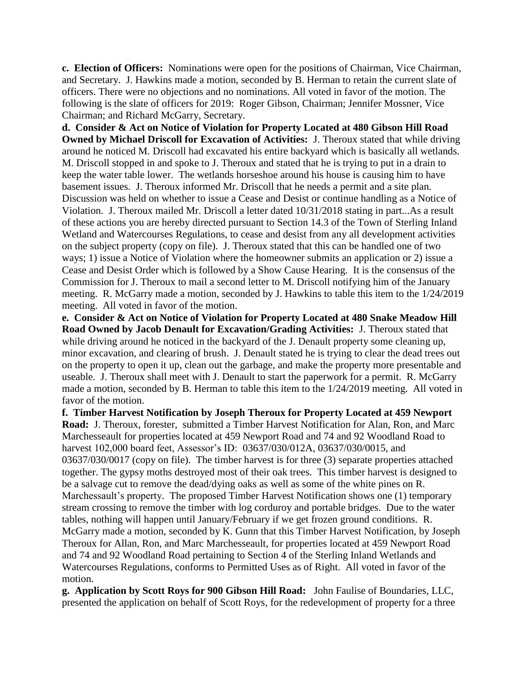**c. Election of Officers:** Nominations were open for the positions of Chairman, Vice Chairman, and Secretary. J. Hawkins made a motion, seconded by B. Herman to retain the current slate of officers. There were no objections and no nominations. All voted in favor of the motion. The following is the slate of officers for 2019: Roger Gibson, Chairman; Jennifer Mossner, Vice Chairman; and Richard McGarry, Secretary.

**d. Consider & Act on Notice of Violation for Property Located at 480 Gibson Hill Road Owned by Michael Driscoll for Excavation of Activities:** J. Theroux stated that while driving around he noticed M. Driscoll had excavated his entire backyard which is basically all wetlands. M. Driscoll stopped in and spoke to J. Theroux and stated that he is trying to put in a drain to keep the water table lower. The wetlands horseshoe around his house is causing him to have basement issues. J. Theroux informed Mr. Driscoll that he needs a permit and a site plan. Discussion was held on whether to issue a Cease and Desist or continue handling as a Notice of Violation. J. Theroux mailed Mr. Driscoll a letter dated 10/31/2018 stating in part...As a result of these actions you are hereby directed pursuant to Section 14.3 of the Town of Sterling Inland Wetland and Watercourses Regulations, to cease and desist from any all development activities on the subject property (copy on file). J. Theroux stated that this can be handled one of two ways; 1) issue a Notice of Violation where the homeowner submits an application or 2) issue a Cease and Desist Order which is followed by a Show Cause Hearing. It is the consensus of the Commission for J. Theroux to mail a second letter to M. Driscoll notifying him of the January meeting. R. McGarry made a motion, seconded by J. Hawkins to table this item to the 1/24/2019 meeting. All voted in favor of the motion.

**e. Consider & Act on Notice of Violation for Property Located at 480 Snake Meadow Hill Road Owned by Jacob Denault for Excavation/Grading Activities:** J. Theroux stated that while driving around he noticed in the backyard of the J. Denault property some cleaning up, minor excavation, and clearing of brush. J. Denault stated he is trying to clear the dead trees out on the property to open it up, clean out the garbage, and make the property more presentable and useable. J. Theroux shall meet with J. Denault to start the paperwork for a permit. R. McGarry made a motion, seconded by B. Herman to table this item to the 1/24/2019 meeting. All voted in favor of the motion.

**f. Timber Harvest Notification by Joseph Theroux for Property Located at 459 Newport Road:** J. Theroux, forester, submitted a Timber Harvest Notification for Alan, Ron, and Marc Marchesseault for properties located at 459 Newport Road and 74 and 92 Woodland Road to harvest 102,000 board feet, Assessor's ID: 03637/030/012A, 03637/030/0015, and 03637/030/0017 (copy on file). The timber harvest is for three (3) separate properties attached together. The gypsy moths destroyed most of their oak trees. This timber harvest is designed to be a salvage cut to remove the dead/dying oaks as well as some of the white pines on R. Marchessault's property. The proposed Timber Harvest Notification shows one (1) temporary stream crossing to remove the timber with log corduroy and portable bridges. Due to the water tables, nothing will happen until January/February if we get frozen ground conditions. R. McGarry made a motion, seconded by K. Gunn that this Timber Harvest Notification, by Joseph Theroux for Allan, Ron, and Marc Marchesseault, for properties located at 459 Newport Road and 74 and 92 Woodland Road pertaining to Section 4 of the Sterling Inland Wetlands and Watercourses Regulations, conforms to Permitted Uses as of Right. All voted in favor of the motion.

**g. Application by Scott Roys for 900 Gibson Hill Road:** John Faulise of Boundaries, LLC, presented the application on behalf of Scott Roys, for the redevelopment of property for a three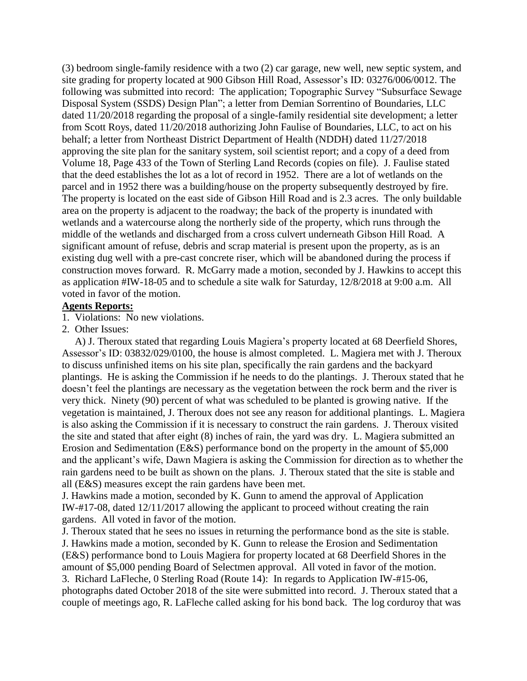(3) bedroom single-family residence with a two (2) car garage, new well, new septic system, and site grading for property located at 900 Gibson Hill Road, Assessor's ID: 03276/006/0012. The following was submitted into record: The application; Topographic Survey "Subsurface Sewage Disposal System (SSDS) Design Plan"; a letter from Demian Sorrentino of Boundaries, LLC dated 11/20/2018 regarding the proposal of a single-family residential site development; a letter from Scott Roys, dated 11/20/2018 authorizing John Faulise of Boundaries, LLC, to act on his behalf; a letter from Northeast District Department of Health (NDDH) dated 11/27/2018 approving the site plan for the sanitary system, soil scientist report; and a copy of a deed from Volume 18, Page 433 of the Town of Sterling Land Records (copies on file). J. Faulise stated that the deed establishes the lot as a lot of record in 1952. There are a lot of wetlands on the parcel and in 1952 there was a building/house on the property subsequently destroyed by fire. The property is located on the east side of Gibson Hill Road and is 2.3 acres. The only buildable area on the property is adjacent to the roadway; the back of the property is inundated with wetlands and a watercourse along the northerly side of the property, which runs through the middle of the wetlands and discharged from a cross culvert underneath Gibson Hill Road. A significant amount of refuse, debris and scrap material is present upon the property, as is an existing dug well with a pre-cast concrete riser, which will be abandoned during the process if construction moves forward. R. McGarry made a motion, seconded by J. Hawkins to accept this as application #IW-18-05 and to schedule a site walk for Saturday, 12/8/2018 at 9:00 a.m. All voted in favor of the motion.

## **Agents Reports:**

1. Violations: No new violations.

2. Other Issues:

 A) J. Theroux stated that regarding Louis Magiera's property located at 68 Deerfield Shores, Assessor's ID: 03832/029/0100, the house is almost completed. L. Magiera met with J. Theroux to discuss unfinished items on his site plan, specifically the rain gardens and the backyard plantings. He is asking the Commission if he needs to do the plantings. J. Theroux stated that he doesn't feel the plantings are necessary as the vegetation between the rock berm and the river is very thick. Ninety (90) percent of what was scheduled to be planted is growing native. If the vegetation is maintained, J. Theroux does not see any reason for additional plantings. L. Magiera is also asking the Commission if it is necessary to construct the rain gardens. J. Theroux visited the site and stated that after eight (8) inches of rain, the yard was dry. L. Magiera submitted an Erosion and Sedimentation (E&S) performance bond on the property in the amount of \$5,000 and the applicant's wife, Dawn Magiera is asking the Commission for direction as to whether the rain gardens need to be built as shown on the plans. J. Theroux stated that the site is stable and all (E&S) measures except the rain gardens have been met.

J. Hawkins made a motion, seconded by K. Gunn to amend the approval of Application IW-#17-08, dated 12/11/2017 allowing the applicant to proceed without creating the rain gardens. All voted in favor of the motion.

J. Theroux stated that he sees no issues in returning the performance bond as the site is stable. J. Hawkins made a motion, seconded by K. Gunn to release the Erosion and Sedimentation (E&S) performance bond to Louis Magiera for property located at 68 Deerfield Shores in the amount of \$5,000 pending Board of Selectmen approval. All voted in favor of the motion. 3. Richard LaFleche, 0 Sterling Road (Route 14): In regards to Application IW-#15-06, photographs dated October 2018 of the site were submitted into record. J. Theroux stated that a couple of meetings ago, R. LaFleche called asking for his bond back. The log corduroy that was